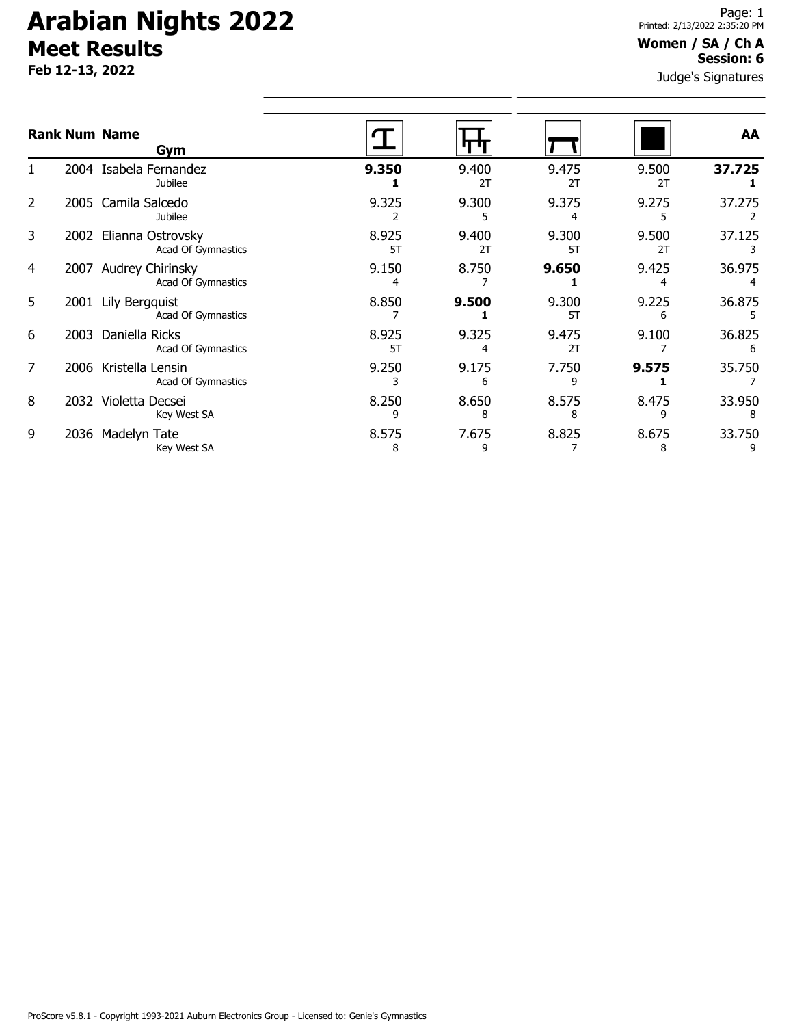**Feb 12-13, 2022**

### **Women / SA / Ch A Session: 6**

Judge's Signatures

|   |      | <b>Rank Num Name</b><br>Gym                 |             |             |             |             | AA          |
|---|------|---------------------------------------------|-------------|-------------|-------------|-------------|-------------|
|   |      | 2004 Isabela Fernandez<br>Jubilee           | 9.350       | 9.400<br>2T | 9.475<br>2T | 9.500<br>2T | 37.725      |
| 2 |      | 2005 Camila Salcedo<br><b>Jubilee</b>       | 9.325       | 9.300       | 9.375       | 9.275       | 37.275      |
| 3 | 2002 | Elianna Ostrovsky<br>Acad Of Gymnastics     | 8.925<br>5T | 9.400<br>2T | 9.300<br>5T | 9.500<br>2T | 37.125      |
| 4 | 2007 | Audrey Chirinsky<br>Acad Of Gymnastics      | 9.150       | 8.750       | 9.650       | 9.425       | 36.975      |
| 5 | 2001 | Lily Bergquist<br>Acad Of Gymnastics        | 8.850       | 9.500       | 9.300<br>5T | 9.225       | 36.875      |
| 6 |      | 2003 Daniella Ricks<br>Acad Of Gymnastics   | 8.925<br>5T | 9.325       | 9.475<br>2T | 9.100       | 36.825<br>6 |
| 7 |      | 2006 Kristella Lensin<br>Acad Of Gymnastics | 9.250       | 9.175<br>6  | 7.750       | 9.575       | 35.750      |
| 8 |      | 2032 Violetta Decsei<br>Key West SA         | 8.250<br>٩  | 8.650<br>8  | 8.575<br>8  | 8.475       | 33.950      |
| 9 | 2036 | Madelyn Tate<br>Key West SA                 | 8.575<br>8  | 7.675<br>٩  | 8.825       | 8.675<br>8  | 33.750      |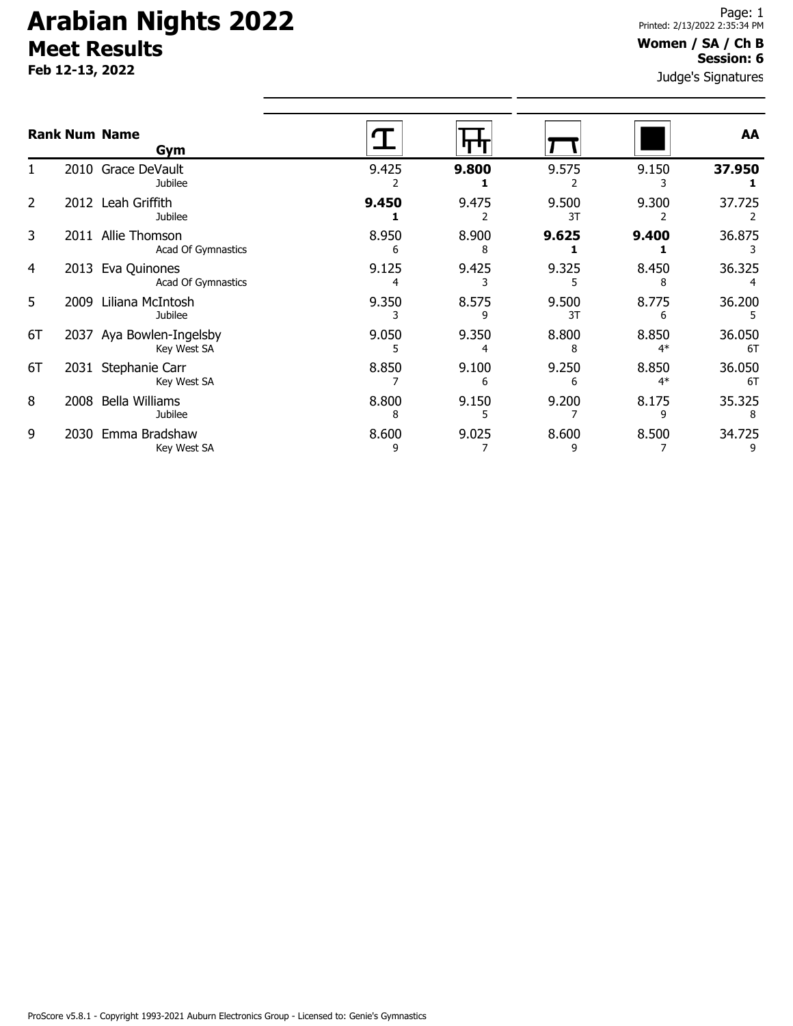**Feb 12-13, 2022**

### **Women / SA / Ch B Session: 6**

Judge's Signatures

|    |      | <b>Rank Num Name</b><br>Gym             |            |            |             |               | AA           |
|----|------|-----------------------------------------|------------|------------|-------------|---------------|--------------|
|    |      | 2010 Grace DeVault<br>Jubilee           | 9.425      | 9.800      | 9.575       | 9.150         | 37.950       |
| 2  |      | 2012 Leah Griffith<br>Jubilee           | 9.450      | 9.475      | 9.500<br>3T | 9.300         | 37.725       |
| 3  | 2011 | Allie Thomson<br>Acad Of Gymnastics     | 8.950<br>6 | 8.900<br>8 | 9.625       | 9.400         | 36.875       |
| 4  | 2013 | Eva Quinones<br>Acad Of Gymnastics      | 9.125      | 9.425      | 9.325       | 8.450<br>8    | 36.325       |
| 5  | 2009 | Liliana McIntosh<br>Jubilee             | 9.350      | 8.575      | 9.500<br>3T | 8.775<br>6    | 36.200       |
| 6T |      | 2037 Aya Bowlen-Ingelsby<br>Key West SA | 9.050<br>5 | 9.350      | 8.800<br>8  | 8.850<br>$4*$ | 36.050<br>6T |
| 6T | 2031 | Stephanie Carr<br>Key West SA           | 8.850      | 9.100<br>6 | 9.250<br>6  | 8.850<br>$4*$ | 36.050<br>6T |
| 8  | 2008 | <b>Bella Williams</b><br>Jubilee        | 8.800<br>8 | 9.150      | 9.200       | 8.175<br>q    | 35.325<br>8  |
| 9  | 2030 | Emma Bradshaw<br>Key West SA            | 8.600<br>9 | 9.025      | 8.600<br>9  | 8.500         | 34.725       |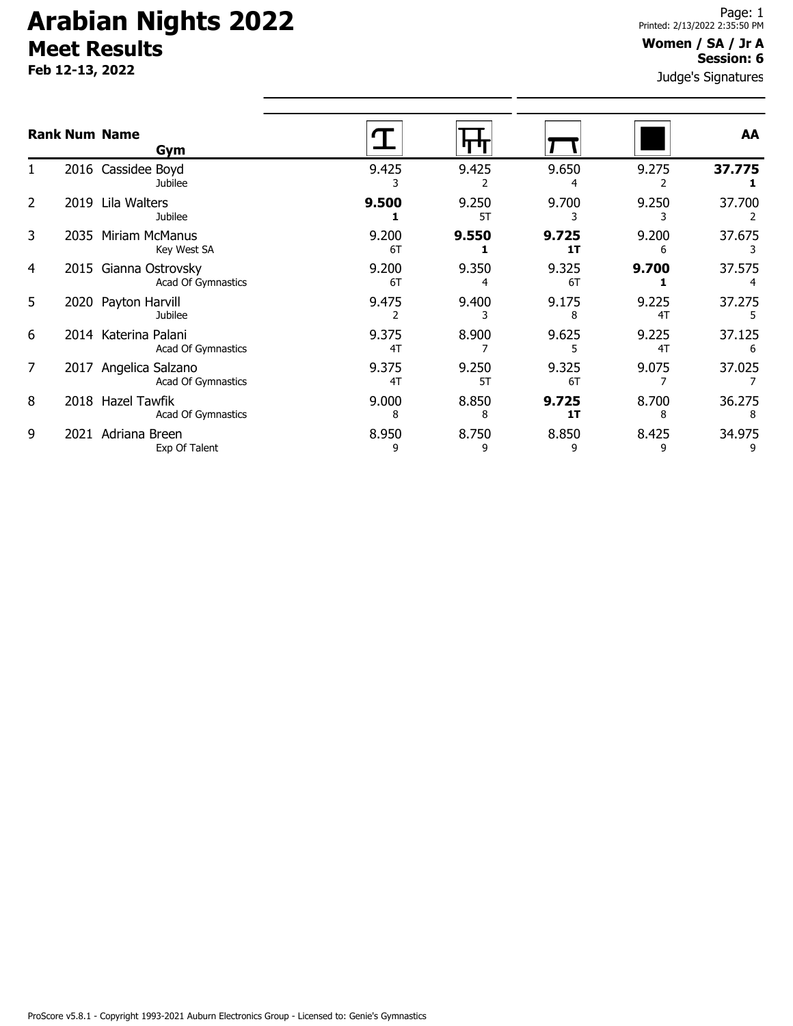**Feb 12-13, 2022**

### Judge's Signatures **Women / SA / Jr A Session: 6**

|                |      | <b>Rank Num Name</b><br>Gym                 |             |             |             |             | AA          |
|----------------|------|---------------------------------------------|-------------|-------------|-------------|-------------|-------------|
|                |      | 2016 Cassidee Boyd<br>Jubilee               | 9.425       | 9.425       | 9.650       | 9.275       | 37.775      |
| $\overline{2}$ | 2019 | Lila Walters<br><b>Jubilee</b>              | 9.500       | 9.250<br>5T | 9.700       | 9.250       | 37.700      |
| 3              | 2035 | Miriam McManus<br>Key West SA               | 9.200<br>6T | 9.550       | 9.725<br>1T | 9.200       | 37.675      |
| 4              |      | 2015 Gianna Ostrovsky<br>Acad Of Gymnastics | 9.200<br>6T | 9.350       | 9.325<br>6T | 9.700       | 37.575      |
| 5              |      | 2020 Payton Harvill<br><b>Jubilee</b>       | 9.475       | 9.400       | 9.175       | 9.225<br>4T | 37.275      |
| 6              |      | 2014 Katerina Palani<br>Acad Of Gymnastics  | 9.375<br>4T | 8.900       | 9.625       | 9.225<br>4T | 37.125<br>6 |
| 7              |      | 2017 Angelica Salzano<br>Acad Of Gymnastics | 9.375<br>4T | 9.250<br>5T | 9.325<br>6T | 9.075       | 37.025      |
| 8              |      | 2018 Hazel Tawfik<br>Acad Of Gymnastics     | 9.000<br>8  | 8.850<br>8  | 9.725<br>1T | 8.700<br>8  | 36.275      |
| 9              | 2021 | Adriana Breen<br>Exp Of Talent              | 8.950<br>9  | 8.750<br>9  | 8.850<br>٩  | 8.425<br>9  | 34.975      |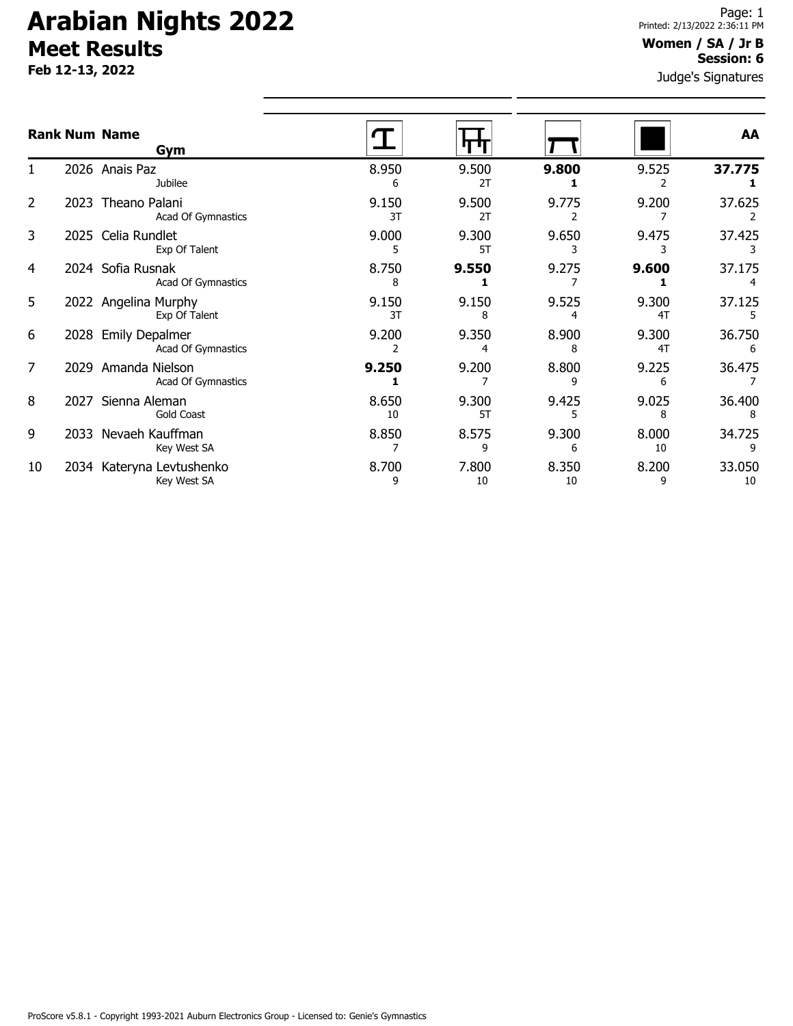**Feb 12-13, 2022**

### **Women / SA / Jr B Session: 6**

Judge's Signatures

|    |      | <b>Rank Num Name</b><br>Gym                 |             |             |             |             | AA           |
|----|------|---------------------------------------------|-------------|-------------|-------------|-------------|--------------|
|    |      | 2026 Anais Paz<br><b>Jubilee</b>            | 8.950<br>6  | 9.500<br>2T | 9.800       | 9.525       | 37.775       |
| 2  | 2023 | Theano Palani<br>Acad Of Gymnastics         | 9.150<br>3T | 9.500<br>2T | 9.775       | 9.200       | 37.625       |
| 3  |      | 2025 Celia Rundlet<br>Exp Of Talent         | 9.000<br>5  | 9.300<br>5T | 9.650       | 9.475       | 37.425       |
| 4  |      | 2024 Sofia Rusnak<br>Acad Of Gymnastics     | 8.750<br>8  | 9.550       | 9.275       | 9.600       | 37.175       |
| 5  |      | 2022 Angelina Murphy<br>Exp Of Talent       | 9.150<br>3T | 9.150<br>8  | 9.525<br>4  | 9.300<br>4T | 37.125       |
| 6  | 2028 | <b>Emily Depalmer</b><br>Acad Of Gymnastics | 9.200       | 9.350<br>4  | 8.900<br>8  | 9.300<br>4T | 36.750<br>6  |
| 7  | 2029 | Amanda Nielson<br>Acad Of Gymnastics        | 9.250       | 9.200       | 8.800<br>٩  | 9.225<br>6  | 36.475       |
| 8  | 2027 | Sienna Aleman<br><b>Gold Coast</b>          | 8.650<br>10 | 9.300<br>5T | 9.425       | 9.025<br>8  | 36.400       |
| 9  | 2033 | Nevaeh Kauffman<br>Key West SA              | 8.850       | 8.575<br>٩  | 9.300<br>6  | 8.000<br>10 | 34.725       |
| 10 | 2034 | Kateryna Levtushenko<br>Key West SA         | 8.700<br>9  | 7.800<br>10 | 8.350<br>10 | 8.200<br>9  | 33.050<br>10 |